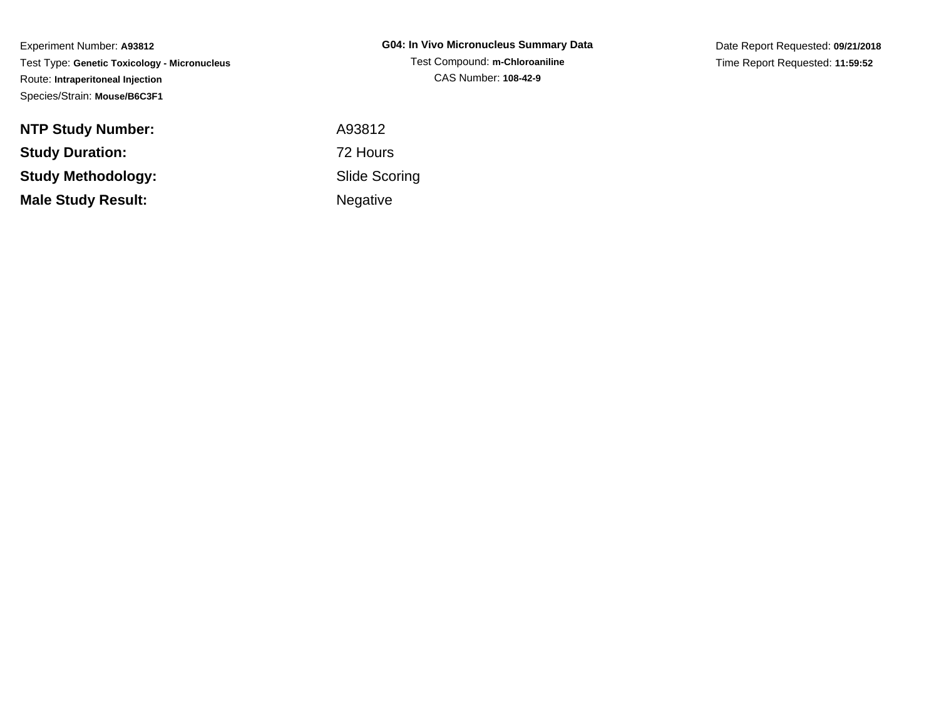| <b>G04: In Vivo Micronucleus Summary Data</b> |
|-----------------------------------------------|
| Test Compound: m-Chloroaniline                |
| CAS Number: 108-42-9                          |

Date Report Requested: **09/21/2018**Time Report Requested: **11:59:52**

| <b>NTP Study Number:</b>  | A93812          |
|---------------------------|-----------------|
| <b>Study Duration:</b>    | 72 Hours        |
| Study Methodology:        | Slide Sco       |
| <b>Male Study Result:</b> | <b>Negative</b> |

 Slide ScoringNegative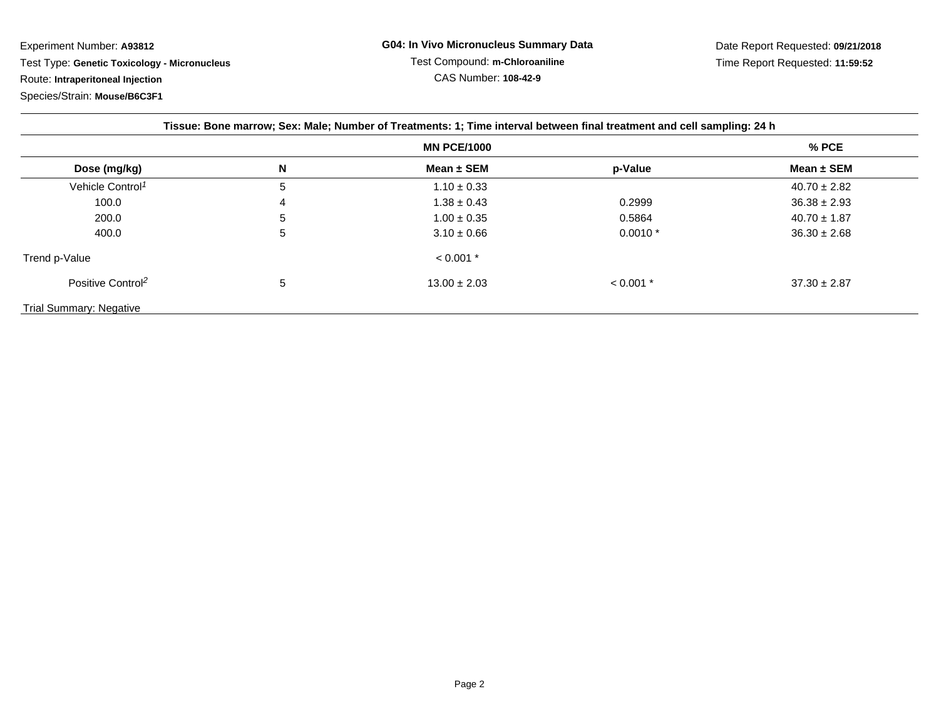| Tissue: Bone marrow; Sex: Male; Number of Treatments: 1; Time interval between final treatment and cell sampling: 24 h |   |                  |             |                  |  |
|------------------------------------------------------------------------------------------------------------------------|---|------------------|-------------|------------------|--|
| <b>MN PCE/1000</b>                                                                                                     |   |                  |             | % PCE            |  |
| Dose (mg/kg)                                                                                                           | N | Mean $\pm$ SEM   | p-Value     | Mean $\pm$ SEM   |  |
| Vehicle Control <sup>1</sup>                                                                                           | 5 | $1.10 \pm 0.33$  |             | $40.70 \pm 2.82$ |  |
| 100.0                                                                                                                  | 4 | $1.38 \pm 0.43$  | 0.2999      | $36.38 \pm 2.93$ |  |
| 200.0                                                                                                                  | 5 | $1.00 \pm 0.35$  | 0.5864      | $40.70 \pm 1.87$ |  |
| 400.0                                                                                                                  | 5 | $3.10 \pm 0.66$  | $0.0010*$   | $36.30 \pm 2.68$ |  |
| Trend p-Value                                                                                                          |   | $< 0.001$ *      |             |                  |  |
| Positive Control <sup>2</sup>                                                                                          | 5 | $13.00 \pm 2.03$ | $< 0.001$ * | $37.30 \pm 2.87$ |  |
| Trial Summary: Negative                                                                                                |   |                  |             |                  |  |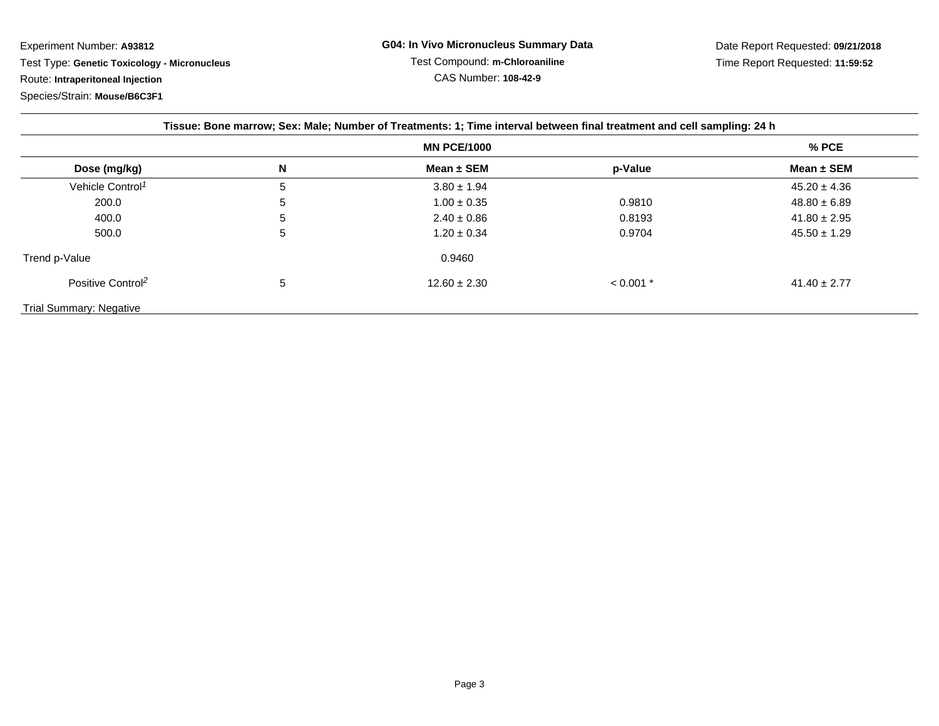Experiment Number: **A93812** Test Type: **Genetic Toxicology - Micronucleus**Route: **Intraperitoneal Injection**

Species/Strain: **Mouse/B6C3F1**

| Tissue: Bone marrow; Sex: Male; Number of Treatments: 1; Time interval between final treatment and cell sampling: 24 h |                    |                  |             |                  |
|------------------------------------------------------------------------------------------------------------------------|--------------------|------------------|-------------|------------------|
|                                                                                                                        | <b>MN PCE/1000</b> |                  |             | $%$ PCE          |
| Dose (mg/kg)                                                                                                           | N                  | Mean $\pm$ SEM   | p-Value     | Mean $\pm$ SEM   |
| Vehicle Control <sup>1</sup>                                                                                           | 5                  | $3.80 \pm 1.94$  |             | $45.20 \pm 4.36$ |
| 200.0                                                                                                                  | 5                  | $1.00 \pm 0.35$  | 0.9810      | $48.80 \pm 6.89$ |
| 400.0                                                                                                                  | <sub>5</sub>       | $2.40 \pm 0.86$  | 0.8193      | $41.80 \pm 2.95$ |
| 500.0                                                                                                                  | 5                  | $1.20 \pm 0.34$  | 0.9704      | $45.50 \pm 1.29$ |
| Trend p-Value                                                                                                          |                    | 0.9460           |             |                  |
| Positive Control <sup>2</sup>                                                                                          | 5                  | $12.60 \pm 2.30$ | $< 0.001$ * | $41.40 \pm 2.77$ |
| <b>Trial Summary: Negative</b>                                                                                         |                    |                  |             |                  |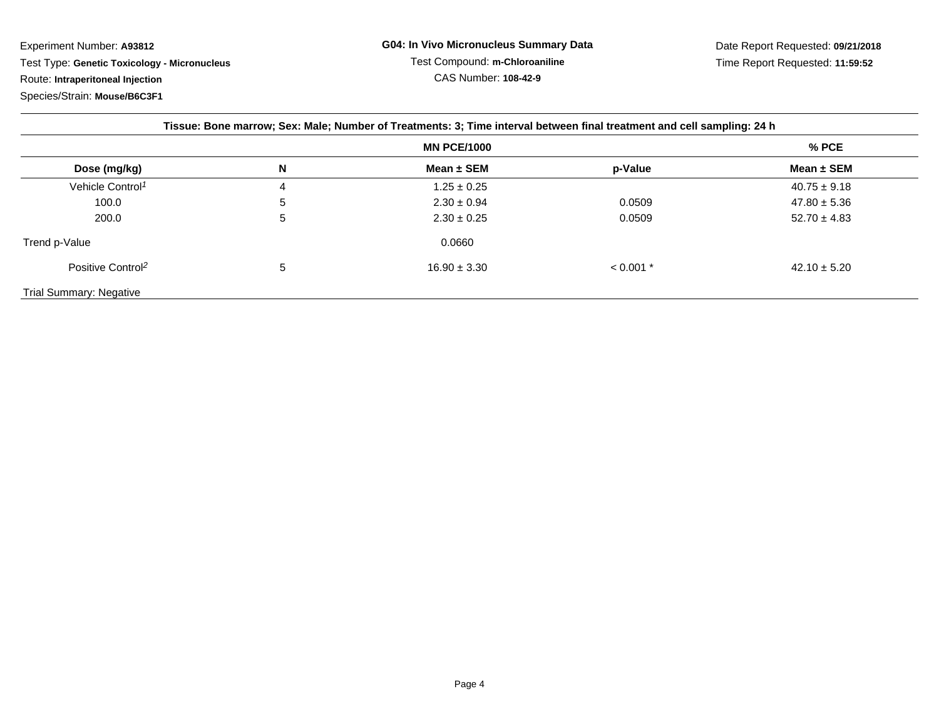| Tissue: Bone marrow; Sex: Male; Number of Treatments: 3; Time interval between final treatment and cell sampling: 24 h |   |                    |             |                  |  |
|------------------------------------------------------------------------------------------------------------------------|---|--------------------|-------------|------------------|--|
|                                                                                                                        |   | <b>MN PCE/1000</b> | $%$ PCE     |                  |  |
| Dose (mg/kg)                                                                                                           | N | Mean $\pm$ SEM     | p-Value     | Mean $\pm$ SEM   |  |
| Vehicle Control <sup>1</sup>                                                                                           | 4 | $1.25 \pm 0.25$    |             | $40.75 \pm 9.18$ |  |
| 100.0                                                                                                                  | 5 | $2.30 \pm 0.94$    | 0.0509      | $47.80 \pm 5.36$ |  |
| 200.0                                                                                                                  | 5 | $2.30 \pm 0.25$    | 0.0509      | $52.70 \pm 4.83$ |  |
| Trend p-Value                                                                                                          |   | 0.0660             |             |                  |  |
| Positive Control <sup>2</sup>                                                                                          | 5 | $16.90 \pm 3.30$   | $< 0.001$ * | $42.10 \pm 5.20$ |  |
| Trial Summary: Negative                                                                                                |   |                    |             |                  |  |